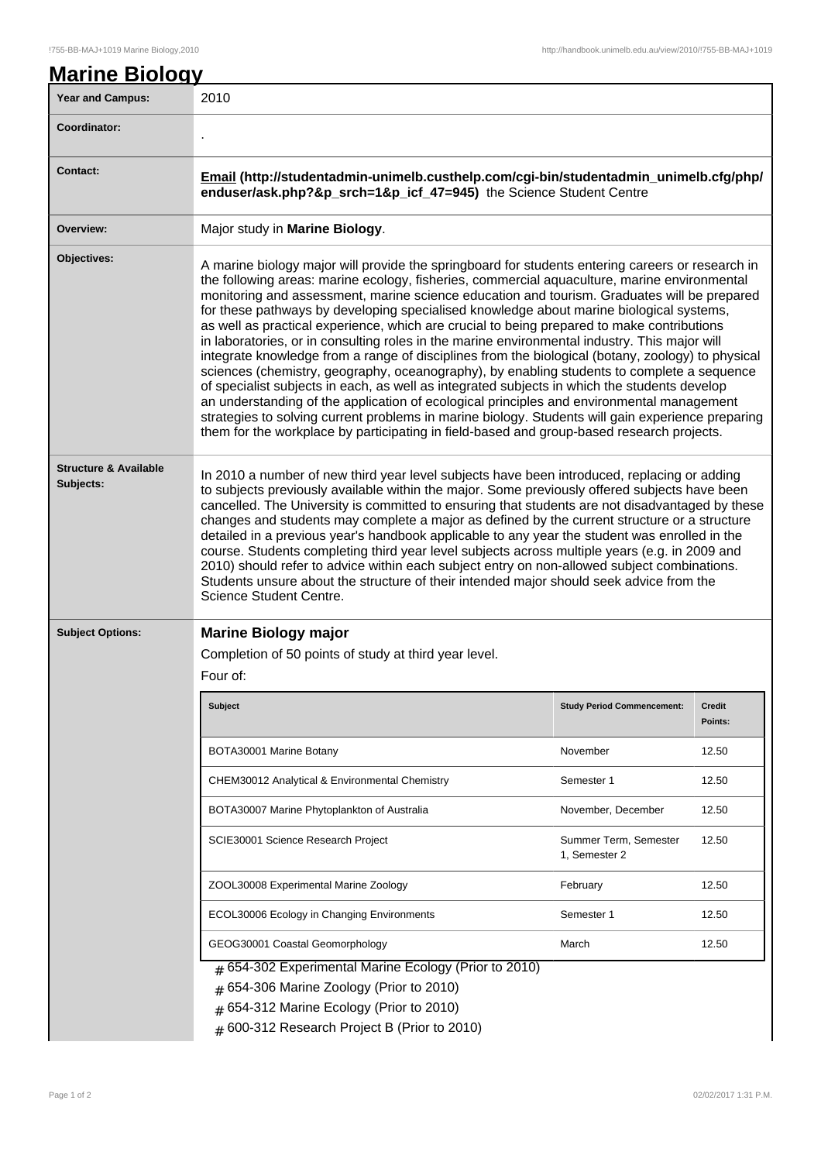| <b>Year and Campus:</b>                       | 2010                                                                                                                                                                                                                                                                                                                                                                                                                                                                                                                                                                                                                                                                                                                                                                                                                                                                                                                                                                                                                                                                                                                                                                                        |                                        |                          |  |
|-----------------------------------------------|---------------------------------------------------------------------------------------------------------------------------------------------------------------------------------------------------------------------------------------------------------------------------------------------------------------------------------------------------------------------------------------------------------------------------------------------------------------------------------------------------------------------------------------------------------------------------------------------------------------------------------------------------------------------------------------------------------------------------------------------------------------------------------------------------------------------------------------------------------------------------------------------------------------------------------------------------------------------------------------------------------------------------------------------------------------------------------------------------------------------------------------------------------------------------------------------|----------------------------------------|--------------------------|--|
| Coordinator:                                  |                                                                                                                                                                                                                                                                                                                                                                                                                                                                                                                                                                                                                                                                                                                                                                                                                                                                                                                                                                                                                                                                                                                                                                                             |                                        |                          |  |
| <b>Contact:</b>                               | Email (http://studentadmin-unimelb.custhelp.com/cgi-bin/studentadmin_unimelb.cfg/php/<br>enduser/ask.php?&p_srch=1&p_icf_47=945) the Science Student Centre                                                                                                                                                                                                                                                                                                                                                                                                                                                                                                                                                                                                                                                                                                                                                                                                                                                                                                                                                                                                                                 |                                        |                          |  |
| Overview:                                     | Major study in Marine Biology.                                                                                                                                                                                                                                                                                                                                                                                                                                                                                                                                                                                                                                                                                                                                                                                                                                                                                                                                                                                                                                                                                                                                                              |                                        |                          |  |
| Objectives:                                   | A marine biology major will provide the springboard for students entering careers or research in<br>the following areas: marine ecology, fisheries, commercial aquaculture, marine environmental<br>monitoring and assessment, marine science education and tourism. Graduates will be prepared<br>for these pathways by developing specialised knowledge about marine biological systems,<br>as well as practical experience, which are crucial to being prepared to make contributions<br>in laboratories, or in consulting roles in the marine environmental industry. This major will<br>integrate knowledge from a range of disciplines from the biological (botany, zoology) to physical<br>sciences (chemistry, geography, oceanography), by enabling students to complete a sequence<br>of specialist subjects in each, as well as integrated subjects in which the students develop<br>an understanding of the application of ecological principles and environmental management<br>strategies to solving current problems in marine biology. Students will gain experience preparing<br>them for the workplace by participating in field-based and group-based research projects. |                                        |                          |  |
| <b>Structure &amp; Available</b><br>Subjects: | In 2010 a number of new third year level subjects have been introduced, replacing or adding<br>to subjects previously available within the major. Some previously offered subjects have been<br>cancelled. The University is committed to ensuring that students are not disadvantaged by these<br>changes and students may complete a major as defined by the current structure or a structure<br>detailed in a previous year's handbook applicable to any year the student was enrolled in the<br>course. Students completing third year level subjects across multiple years (e.g. in 2009 and<br>2010) should refer to advice within each subject entry on non-allowed subject combinations.<br>Students unsure about the structure of their intended major should seek advice from the<br>Science Student Centre.                                                                                                                                                                                                                                                                                                                                                                      |                                        |                          |  |
| <b>Subject Options:</b>                       | <b>Marine Biology major</b>                                                                                                                                                                                                                                                                                                                                                                                                                                                                                                                                                                                                                                                                                                                                                                                                                                                                                                                                                                                                                                                                                                                                                                 |                                        |                          |  |
|                                               | Completion of 50 points of study at third year level.                                                                                                                                                                                                                                                                                                                                                                                                                                                                                                                                                                                                                                                                                                                                                                                                                                                                                                                                                                                                                                                                                                                                       |                                        |                          |  |
|                                               | Four of:                                                                                                                                                                                                                                                                                                                                                                                                                                                                                                                                                                                                                                                                                                                                                                                                                                                                                                                                                                                                                                                                                                                                                                                    |                                        |                          |  |
|                                               | <b>Subject</b>                                                                                                                                                                                                                                                                                                                                                                                                                                                                                                                                                                                                                                                                                                                                                                                                                                                                                                                                                                                                                                                                                                                                                                              | <b>Study Period Commencement:</b>      | <b>Credit</b><br>Points: |  |
|                                               | BOTA30001 Marine Botany                                                                                                                                                                                                                                                                                                                                                                                                                                                                                                                                                                                                                                                                                                                                                                                                                                                                                                                                                                                                                                                                                                                                                                     | November                               | 12.50                    |  |
|                                               | CHEM30012 Analytical & Environmental Chemistry                                                                                                                                                                                                                                                                                                                                                                                                                                                                                                                                                                                                                                                                                                                                                                                                                                                                                                                                                                                                                                                                                                                                              | Semester 1                             | 12.50                    |  |
|                                               | BOTA30007 Marine Phytoplankton of Australia                                                                                                                                                                                                                                                                                                                                                                                                                                                                                                                                                                                                                                                                                                                                                                                                                                                                                                                                                                                                                                                                                                                                                 | November, December                     | 12.50                    |  |
|                                               | SCIE30001 Science Research Project                                                                                                                                                                                                                                                                                                                                                                                                                                                                                                                                                                                                                                                                                                                                                                                                                                                                                                                                                                                                                                                                                                                                                          | Summer Term, Semester<br>1, Semester 2 | 12.50                    |  |
|                                               | ZOOL30008 Experimental Marine Zoology                                                                                                                                                                                                                                                                                                                                                                                                                                                                                                                                                                                                                                                                                                                                                                                                                                                                                                                                                                                                                                                                                                                                                       | February                               | 12.50                    |  |
|                                               | ECOL30006 Ecology in Changing Environments                                                                                                                                                                                                                                                                                                                                                                                                                                                                                                                                                                                                                                                                                                                                                                                                                                                                                                                                                                                                                                                                                                                                                  | Semester 1                             | 12.50                    |  |
|                                               | GEOG30001 Coastal Geomorphology                                                                                                                                                                                                                                                                                                                                                                                                                                                                                                                                                                                                                                                                                                                                                                                                                                                                                                                                                                                                                                                                                                                                                             | March                                  | 12.50                    |  |
|                                               | $#$ 654-302 Experimental Marine Ecology (Prior to 2010)<br>654-306 Marine Zoology (Prior to 2010)<br>654-312 Marine Ecology (Prior to 2010)<br>600-312 Research Project B (Prior to 2010)                                                                                                                                                                                                                                                                                                                                                                                                                                                                                                                                                                                                                                                                                                                                                                                                                                                                                                                                                                                                   |                                        |                          |  |